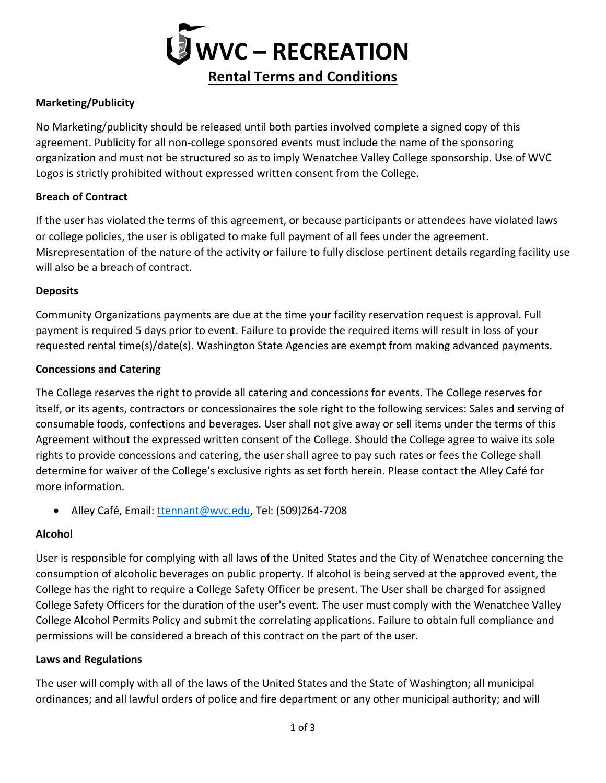

# **Marketing/Publicity**

No Marketing/publicity should be released until both parties involved complete a signed copy of this agreement. Publicity for all non-college sponsored events must include the name of the sponsoring organization and must not be structured so as to imply Wenatchee Valley College sponsorship. Use of WVC Logos is strictly prohibited without expressed written consent from the College.

#### **Breach of Contract**

If the user has violated the terms of this agreement, or because participants or attendees have violated laws or college policies, the user is obligated to make full payment of all fees under the agreement. Misrepresentation of the nature of the activity or failure to fully disclose pertinent details regarding facility use will also be a breach of contract.

#### **Deposits**

Community Organizations payments are due at the time your facility reservation request is approval. Full payment is required 5 days prior to event. Failure to provide the required items will result in loss of your requested rental time(s)/date(s). Washington State Agencies are exempt from making advanced payments.

#### **Concessions and Catering**

The College reserves the right to provide all catering and concessions for events. The College reserves for itself, or its agents, contractors or concessionaires the sole right to the following services: Sales and serving of consumable foods, confections and beverages. User shall not give away or sell items under the terms of this Agreement without the expressed written consent of the College. Should the College agree to waive its sole rights to provide concessions and catering, the user shall agree to pay such rates or fees the College shall determine for waiver of the College's exclusive rights as set forth herein. Please contact the Alley Café for more information.

• Alley Café, Email[: ttennant@wvc.edu,](mailto:ttennant@wvc.edu) Tel: (509)264-7208

## **Alcohol**

User is responsible for complying with all laws of the United States and the City of Wenatchee concerning the consumption of alcoholic beverages on public property. If alcohol is being served at the approved event, the College has the right to require a College Safety Officer be present. The User shall be charged for assigned College Safety Officers for the duration of the user's event. The user must comply with the Wenatchee Valley College Alcohol Permits Policy and submit the correlating applications. Failure to obtain full compliance and permissions will be considered a breach of this contract on the part of the user.

#### **Laws and Regulations**

The user will comply with all of the laws of the United States and the State of Washington; all municipal ordinances; and all lawful orders of police and fire department or any other municipal authority; and will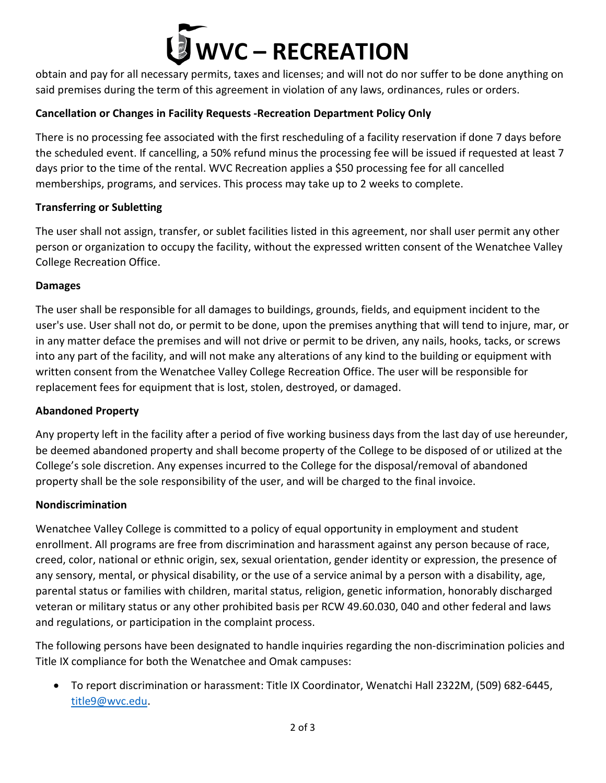# **WVC – RECREATION**

obtain and pay for all necessary permits, taxes and licenses; and will not do nor suffer to be done anything on said premises during the term of this agreement in violation of any laws, ordinances, rules or orders.

# **Cancellation or Changes in Facility Requests -Recreation Department Policy Only**

There is no processing fee associated with the first rescheduling of a facility reservation if done 7 days before the scheduled event. If cancelling, a 50% refund minus the processing fee will be issued if requested at least 7 days prior to the time of the rental. WVC Recreation applies a \$50 processing fee for all cancelled memberships, programs, and services. This process may take up to 2 weeks to complete.

## **Transferring or Subletting**

The user shall not assign, transfer, or sublet facilities listed in this agreement, nor shall user permit any other person or organization to occupy the facility, without the expressed written consent of the Wenatchee Valley College Recreation Office.

## **Damages**

The user shall be responsible for all damages to buildings, grounds, fields, and equipment incident to the user's use. User shall not do, or permit to be done, upon the premises anything that will tend to injure, mar, or in any matter deface the premises and will not drive or permit to be driven, any nails, hooks, tacks, or screws into any part of the facility, and will not make any alterations of any kind to the building or equipment with written consent from the Wenatchee Valley College Recreation Office. The user will be responsible for replacement fees for equipment that is lost, stolen, destroyed, or damaged.

## **Abandoned Property**

Any property left in the facility after a period of five working business days from the last day of use hereunder, be deemed abandoned property and shall become property of the College to be disposed of or utilized at the College's sole discretion. Any expenses incurred to the College for the disposal/removal of abandoned property shall be the sole responsibility of the user, and will be charged to the final invoice.

## **Nondiscrimination**

Wenatchee Valley College is committed to a policy of equal opportunity in employment and student enrollment. All programs are free from discrimination and harassment against any person because of race, creed, color, national or ethnic origin, sex, sexual orientation, gender identity or expression, the presence of any sensory, mental, or physical disability, or the use of a service animal by a person with a disability, age, parental status or families with children, marital status, religion, genetic information, honorably discharged veteran or military status or any other prohibited basis per RCW 49.60.030, 040 and other federal and laws and regulations, or participation in the complaint process.

The following persons have been designated to handle inquiries regarding the non-discrimination policies and Title IX compliance for both the Wenatchee and Omak campuses:

• To report discrimination or harassment: Title IX Coordinator, Wenatchi Hall 2322M, (509) 682-6445, [title9@wvc.edu.](mailto:title9@wvc.edu)